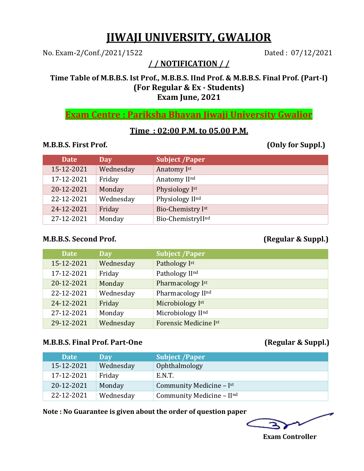# **JIWAJI UNIVERSITY, GWALIOR**

No. Exam-2/Conf./2021/1522 Dated : 07/12/2021

**/ / NOTIFICATION / /**

## **Time Table of M.B.B.S. Ist Prof., M.B.B.S. IInd Prof. & M.B.B.S. Final Prof. (Part-I) (For Regular & Ex - Students) Exam June, 2021**

**Exam Centre : Pariksha Bhavan Jiwaji University Gwalior**

## **Time : 02:00 P.M. to 05.00 P.M.**

### **M.B.B.S. First Prof. (Only for Suppl.)**

| <b>Date</b> | Day       | <b>Subject /Paper</b> |
|-------------|-----------|-----------------------|
| 15-12-2021  | Wednesday | Anatomy Ist           |
| 17-12-2021  | Friday    | Anatomy IInd          |
| 20-12-2021  | Monday    | Physiology Ist        |
| 22-12-2021  | Wednesday | Physiology IInd       |
| 24-12-2021  | Friday    | Bio-Chemistry Ist     |
| 27-12-2021  | Monday    | Bio-ChemistryIInd     |

## **M.B.B.S. Second Prof. (Regular & Suppl.)**

| <b>Date</b> | <b>Day</b> | <b>Subject /Paper</b> |
|-------------|------------|-----------------------|
| 15-12-2021  | Wednesday  | Pathology Ist         |
| 17-12-2021  | Friday     | Pathology IInd        |
| 20-12-2021  | Monday     | Pharmacology Ist      |
| 22-12-2021  | Wednesday  | Pharmacology IInd     |
| 24-12-2021  | Friday     | Microbiology Ist      |
| 27-12-2021  | Monday     | Microbiology IInd     |
| 29-12-2021  | Wednesday  | Forensic Medicine Ist |

## **M.B.B.S. Final Prof. Part-One (Regular & Suppl.)**

| <b>Date</b> | Day       | <b>Subject /Paper</b>     |
|-------------|-----------|---------------------------|
| 15-12-2021  | Wednesday | Ophthalmology             |
| 17-12-2021  | Friday    | E.N.T.                    |
| 20-12-2021  | Monday    | Community Medicine - Ist  |
| 22-12-2021  | Wednesday | Community Medicine - IInd |

**Note : No Guarantee is given about the order of question paper**

í

 **Exam Controller**